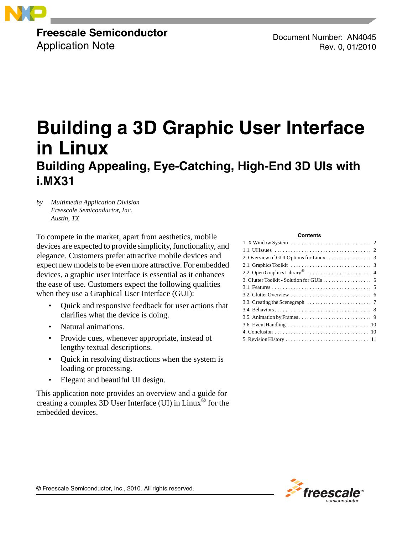

**Freescale Semiconductor** Application Note

Document Number: AN4045 Rev. 0, 01/2010

# **Building a 3D Graphic User Interface in Linux Building Appealing, Eye-Catching, High-End 3D UIs with i.MX31**

*by Multimedia Application Division Freescale Semiconductor, Inc. Austin, TX*

To compete in the market, apart from aesthetics, mobile devices are expected to provide simplicity, functionality, and elegance. Customers prefer attractive mobile devices and expect new models to be even more attractive. For embedded devices, a graphic user interface is essential as it enhances the ease of use. Customers expect the following qualities when they use a Graphical User Interface (GUI):

- Quick and responsive feedback for user actions that clarifies what the device is doing.
- Natural animations.
- Provide cues, whenever appropriate, instead of lengthy textual descriptions.
- Quick in resolving distractions when the system is loading or processing.
- Elegant and beautiful UI design.

This application note provides an overview and a guide for creating a complex 3D User Interface (UI) in Linux<sup>®</sup> for the embedded devices.

#### **Contents**



© Freescale Semiconductor, Inc., 2010. All rights reserved.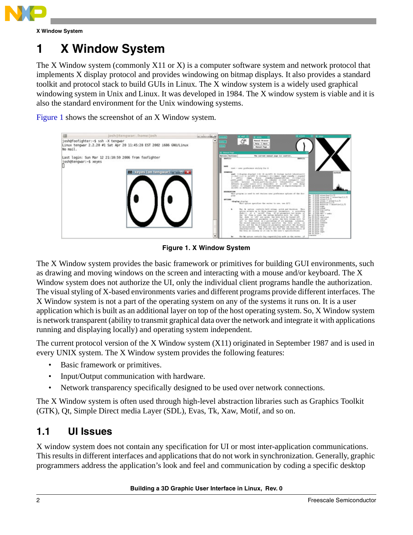

**X Window System**

# <span id="page-1-0"></span>**1 X Window System**

The X Window system (commonly X11 or X) is a computer software system and network protocol that implements X display protocol and provides windowing on bitmap displays. It also provides a standard toolkit and protocol stack to build GUIs in Linux. The X window system is a widely used graphical windowing system in Unix and Linux. It was developed in 1984. The X window system is viable and it is also the standard environment for the Unix windowing systems.

[Figure 1](#page-1-2) shows the screenshot of an X Window system.



**Figure 1. X Window System**

<span id="page-1-2"></span>The X Window system provides the basic framework or primitives for building GUI environments, such as drawing and moving windows on the screen and interacting with a mouse and/or keyboard. The X Window system does not authorize the UI, only the individual client programs handle the authorization. The visual styling of X-based environments varies and different programs provide different interfaces. The X Window system is not a part of the operating system on any of the systems it runs on. It is a user application which is built as an additional layer on top of the host operating system. So, X Window system is network transparent (ability to transmit graphical data over the network and integrate it with applications running and displaying locally) and operating system independent.

The current protocol version of the X Window system (X11) originated in September 1987 and is used in every UNIX system. The X Window system provides the following features:

- Basic framework or primitives.
- Input/Output communication with hardware.
- Network transparency specifically designed to be used over network connections.

The X Window system is often used through high-level abstraction libraries such as Graphics Toolkit (GTK), Qt, Simple Direct media Layer (SDL), Evas, Tk, Xaw, Motif, and so on.

## <span id="page-1-1"></span>**1.1 UI Issues**

X window system does not contain any specification for UI or most inter-application communications. This results in different interfaces and applications that do not work in synchronization. Generally, graphic programmers address the application's look and feel and communication by coding a specific desktop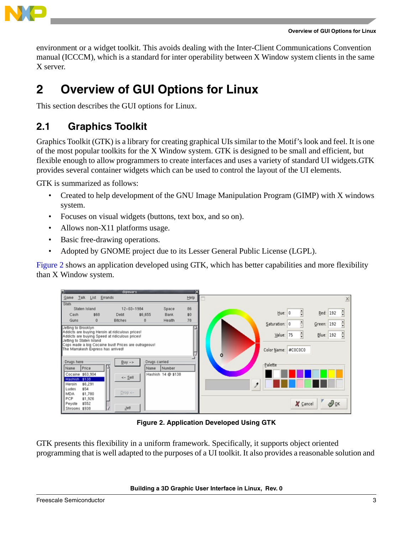

environment or a widget toolkit. This avoids dealing with the Inter-Client Communications Convention manual (ICCCM), which is a standard for inter operability between X Window system clients in the same X server.

# <span id="page-2-0"></span>**2 Overview of GUI Options for Linux**

This section describes the GUI options for Linux.

### <span id="page-2-1"></span>**2.1 Graphics Toolkit**

Graphics Toolkit (GTK) is a library for creating graphical UIs similar to the Motif's look and feel. It is one of the most popular toolkits for the X Window system. GTK is designed to be small and efficient, but flexible enough to allow programmers to create interfaces and uses a variety of standard UI widgets.GTK provides several container widgets which can be used to control the layout of the UI elements.

GTK is summarized as follows:

- Created to help development of the GNU Image Manipulation Program (GIMP) with X windows system.
- Focuses on visual widgets (buttons, text box, and so on).
- Allows non-X11 platforms usage.
- Basic free-drawing operations.
- Adopted by GNOME project due to its Lesser General Public License (LGPL).

[Figure 2](#page-2-2) shows an application developed using GTK, which has better capabilities and more flexibility than X Window system.



**Figure 2. Application Developed Using GTK**

<span id="page-2-2"></span>GTK presents this flexibility in a uniform framework. Specifically, it supports object oriented programming that is well adapted to the purposes of a UI toolkit. It also provides a reasonable solution and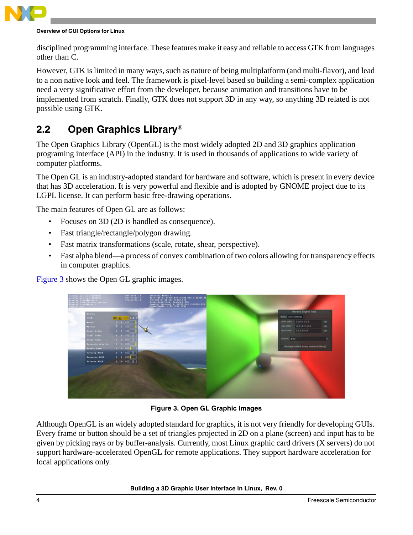

disciplined programming interface. These features make it easy and reliable to access GTK from languages other than C.

However, GTK is limited in many ways, such as nature of being multiplatform (and multi-flavor), and lead to a non native look and feel. The framework is pixel-level based so building a semi-complex application need a very significative effort from the developer, because animation and transitions have to be implemented from scratch. Finally, GTK does not support 3D in any way, so anything 3D related is not possible using GTK.

## <span id="page-3-0"></span>**2.2 Open Graphics Library**®

The Open Graphics Library (OpenGL) is the most widely adopted 2D and 3D graphics application programing interface (API) in the industry. It is used in thousands of applications to wide variety of computer platforms.

The Open GL is an industry-adopted standard for hardware and software, which is present in every device that has 3D acceleration. It is very powerful and flexible and is adopted by GNOME project due to its LGPL license. It can perform basic free-drawing operations.

The main features of Open GL are as follows:

- Focuses on 3D (2D is handled as consequence).
- Fast triangle/rectangle/polygon drawing.
- Fast matrix transformations (scale, rotate, shear, perspective).
- Fast alpha blend—a process of convex combination of two colors allowing for transparency effects in computer graphics.

[Figure 3](#page-3-1) shows the Open GL graphic images.



**Figure 3. Open GL Graphic Images**

<span id="page-3-1"></span>Although OpenGL is an widely adopted standard for graphics, it is not very friendly for developing GUIs. Every frame or button should be a set of triangles projected in 2D on a plane (screen) and input has to be given by picking rays or by buffer-analysis. Currently, most Linux graphic card drivers (X servers) do not support hardware-accelerated OpenGL for remote applications. They support hardware acceleration for local applications only.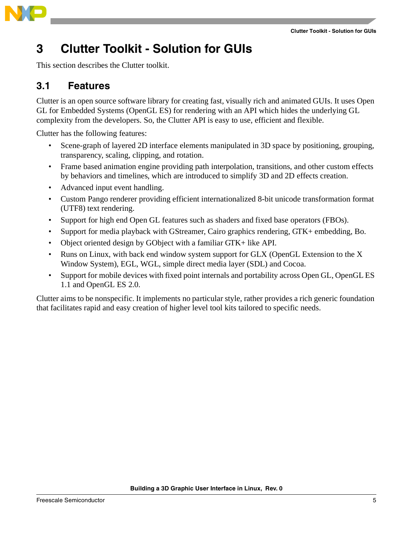

## <span id="page-4-0"></span>**3 Clutter Toolkit - Solution for GUIs**

This section describes the Clutter toolkit.

### <span id="page-4-1"></span>**3.1 Features**

Clutter is an open source software library for creating fast, visually rich and animated GUIs. It uses Open GL for Embedded Systems (OpenGL ES) for rendering with an API which hides the underlying GL complexity from the developers. So, the Clutter API is easy to use, efficient and flexible.

Clutter has the following features:

- Scene-graph of layered 2D interface elements manipulated in 3D space by positioning, grouping, transparency, scaling, clipping, and rotation.
- Frame based animation engine providing path interpolation, transitions, and other custom effects by behaviors and timelines, which are introduced to simplify 3D and 2D effects creation.
- Advanced input event handling.
- Custom Pango renderer providing efficient internationalized 8-bit unicode transformation format (UTF8) text rendering.
- Support for high end Open GL features such as shaders and fixed base operators (FBOs).
- Support for media playback with GStreamer, Cairo graphics rendering, GTK+ embedding, Bo.
- Object oriented design by GObject with a familiar GTK+ like API.
- Runs on Linux, with back end window system support for GLX (OpenGL Extension to the X Window System), EGL, WGL, simple direct media layer (SDL) and Cocoa.
- Support for mobile devices with fixed point internals and portability across Open GL, OpenGL ES 1.1 and OpenGL ES 2.0.

Clutter aims to be nonspecific. It implements no particular style, rather provides a rich generic foundation that facilitates rapid and easy creation of higher level tool kits tailored to specific needs.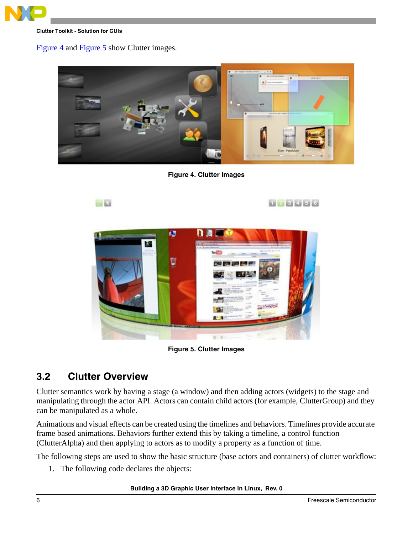

**Clutter Toolkit - Solution for GUIs**

### [Figure 4](#page-5-1) and [Figure 5](#page-5-2) show Clutter images.

<span id="page-5-1"></span>**SI La** 



**Figure 4. Clutter Images**

123456



**Figure 5. Clutter Images**

### <span id="page-5-2"></span><span id="page-5-0"></span>**3.2 Clutter Overview**

Clutter semantics work by having a stage (a window) and then adding actors (widgets) to the stage and manipulating through the actor API. Actors can contain child actors (for example, ClutterGroup) and they can be manipulated as a whole.

Animations and visual effects can be created using the timelines and behaviors. Timelines provide accurate frame based animations. Behaviors further extend this by taking a timeline, a control function (ClutterAlpha) and then applying to actors as to modify a property as a function of time.

The following steps are used to show the basic structure (base actors and containers) of clutter workflow:

1. The following code declares the objects:

**Building a 3D Graphic User Interface in Linux, Rev. 0**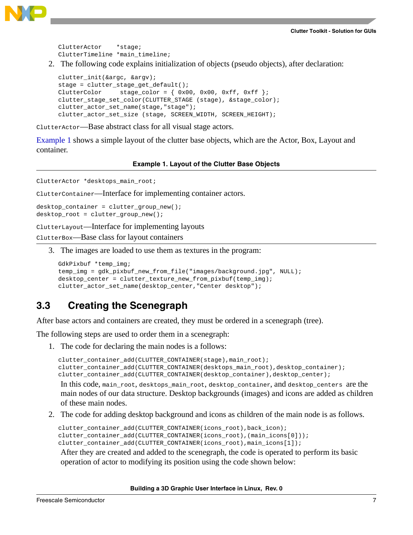

```
ClutterActor *stage;
ClutterTimeline *main_timeline;
```
2. The following code explains initialization of objects (pseudo objects), after declaration:

```
clutter_init(&argc, &argv);
stage = clutter_stage_get_default();
ClutterColor stage_color = \{ 0x00, 0x00, 0xff, 0xff \};
clutter_stage_set_color(CLUTTER_STAGE (stage), &stage_color);
clutter_actor_set_name(stage,"stage");
clutter_actor_set_size (stage, SCREEN_WIDTH, SCREEN_HEIGHT);
```
ClutterActor—Base abstract class for all visual stage actors.

[Example 1](#page-6-1) shows a simple layout of the clutter base objects, which are the Actor, Box, Layout and container.

#### **Example 1. Layout of the Clutter Base Objects**

<span id="page-6-1"></span>ClutterActor \*desktops\_main\_root;

ClutterContainer—Interface for implementing container actors.

```
desktop_container = clutter_group_new();
desktop_root = clutter_group_new();
```
ClutterLayout—Interface for implementing layouts

ClutterBox—Base class for layout containers

3. The images are loaded to use them as textures in the program:

```
GdkPixbuf *temp_img;
temp_img = gdk_pixbuf_new_from_file("images/background.jpg", NULL);
desktop_center = clutter_texture_new_from_pixbuf(temp_img);
clutter_actor_set_name(desktop_center,"Center desktop");
```
### <span id="page-6-0"></span>**3.3 Creating the Scenegraph**

After base actors and containers are created, they must be ordered in a scenegraph (tree).

The following steps are used to order them in a scenegraph:

1. The code for declaring the main nodes is a follows:

```
clutter_container_add(CLUTTER_CONTAINER(stage),main_root); 
clutter_container_add(CLUTTER_CONTAINER(desktops_main_root),desktop_container);
clutter_container_add(CLUTTER_CONTAINER(desktop_container),desktop_center);
```
In this code, main\_root, desktops\_main\_root, desktop\_container, and desktop\_centers are the main nodes of our data structure. Desktop backgrounds (images) and icons are added as children of these main nodes.

2. The code for adding desktop background and icons as children of the main node is as follows.

```
clutter_container_add(CLUTTER_CONTAINER(icons_root),back_icon);
clutter_container_add(CLUTTER_CONTAINER(icons_root),(main_icons[0]));
clutter_container_add(CLUTTER_CONTAINER(icons_root),main_icons[1]);
After they are created and added to the scenegraph, the code is operated to perform its basic 
operation of actor to modifying its position using the code shown below:
```
**Building a 3D Graphic User Interface in Linux, Rev. 0**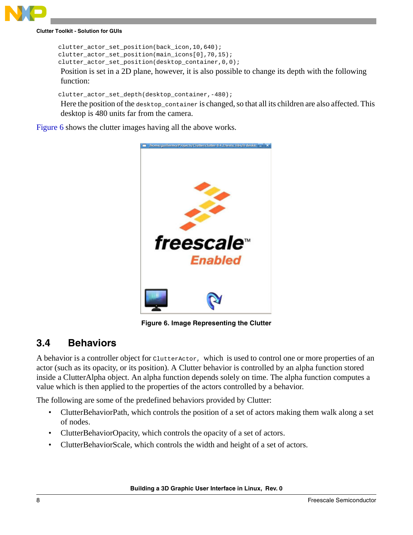

**Clutter Toolkit - Solution for GUIs**

```
clutter_actor_set_position(back_icon,10,640);
clutter_actor_set_position(main_icons[0],70,15);
clutter_actor_set_position(desktop_container,0,0);
```
Position is set in a 2D plane, however, it is also possible to change its depth with the following function:

```
clutter_actor_set_depth(desktop_container,-480);
```
Here the position of the desktop\_container is changed, so that all its children are also affected. This desktop is 480 units far from the camera.

[Figure 6](#page-7-1) shows the clutter images having all the above works.



**Figure 6. Image Representing the Clutter**

## <span id="page-7-1"></span><span id="page-7-0"></span>**3.4 Behaviors**

A behavior is a controller object for ClutterActor, which is used to control one or more properties of an actor (such as its opacity, or its position). A Clutter behavior is controlled by an alpha function stored inside a ClutterAlpha object. An alpha function depends solely on time. The alpha function computes a value which is then applied to the properties of the actors controlled by a behavior.

The following are some of the predefined behaviors provided by Clutter:

- ClutterBehaviorPath, which controls the position of a set of actors making them walk along a set of nodes.
- ClutterBehaviorOpacity, which controls the opacity of a set of actors.
- ClutterBehaviorScale, which controls the width and height of a set of actors.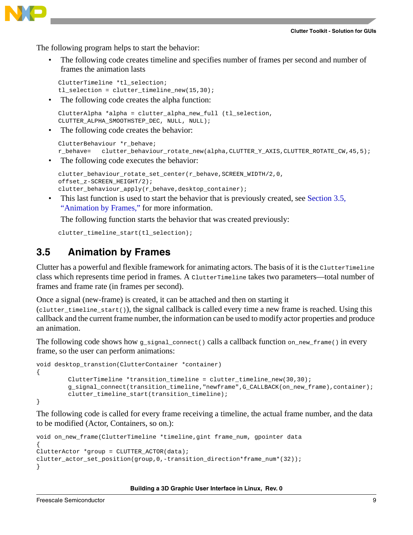

The following program helps to start the behavior:

• The following code creates timeline and specifies number of frames per second and number of frames the animation lasts

```
ClutterTimeline *tl_selection;
tl selection = clutter_timeline_new(15,30);
```
The following code creates the alpha function:

```
ClutterAlpha *alpha = clutter_alpha_new_full (tl_selection, 
CLUTTER_ALPHA_SMOOTHSTEP_DEC, NULL, NULL);
```
• The following code creates the behavior:

```
ClutterBehaviour *r_behave;
r_behave= clutter_behaviour_rotate_new(alpha,CLUTTER_Y_AXIS,CLUTTER_ROTATE_CW,45,5);
```
The following code executes the behavior:

```
clutter_behaviour_rotate_set_center(r_behave,SCREEN_WIDTH/2,0,
offset_z-SCREEN_HEIGHT/2);
clutter_behaviour_apply(r_behave,desktop_container);
```
• This last function is used to start the behavior that is previously created, see [Section 3.5,](#page-8-0)  ["Animation by Frames,](#page-8-0)" for more information.

The following function starts the behavior that was created previously:

clutter\_timeline\_start(tl\_selection);

### <span id="page-8-0"></span>**3.5 Animation by Frames**

Clutter has a powerful and flexible framework for animating actors. The basis of it is the ClutterTimeline class which represents time period in frames. A ClutterTimeline takes two parameters—total number of frames and frame rate (in frames per second).

Once a signal (new-frame) is created, it can be attached and then on starting it

(clutter\_timeline\_start()), the signal callback is called every time a new frame is reached. Using this callback and the current frame number, the information can be used to modify actor properties and produce an animation.

The following code shows how  $g$ -signal-connect() calls a callback function on new frame() in every frame, so the user can perform animations:

```
void desktop_transtion(ClutterContainer *container)
{
        ClutterTimeline *transition_timeline = clutter_timeline_new(30,30);
        g_signal_connect(transition_timeline,"newframe",G_CALLBACK(on_new_frame),container);
        clutter_timeline_start(transition_timeline);
}
```
The following code is called for every frame receiving a timeline, the actual frame number, and the data to be modified (Actor, Containers, so on.):

```
void on new frame(ClutterTimeline *timeline, gint frame num, gpointer data
{
ClutterAction *qroup = CLUTTER ACTOR(data);clutter_actor_set_position(group,0,-transition_direction*frame_num*(32));
}
```
#### **Building a 3D Graphic User Interface in Linux, Rev. 0**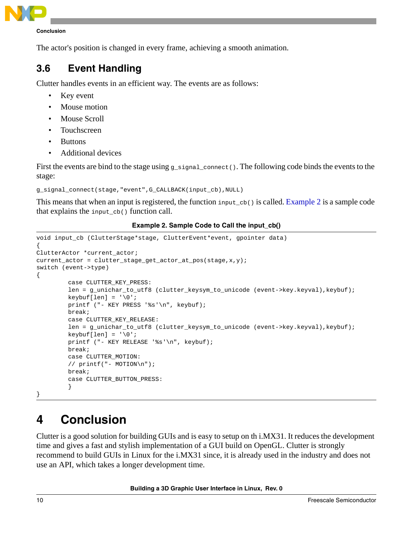

**Conclusion**

The actor's position is changed in every frame, achieving a smooth animation.

## <span id="page-9-0"></span>**3.6 Event Handling**

Clutter handles events in an efficient way. The events are as follows:

- Key event
- Mouse motion
- Mouse Scroll
- **Touchscreen**
- **Buttons**
- Additional devices

First the events are bind to the stage using  $g$ \_signal\_connect(). The following code binds the events to the stage:

g\_signal\_connect(stage,"event",G\_CALLBACK(input\_cb),NULL)

This means that when an input is registered, the function input\_cb() is called. [Example 2](#page-9-2) is a sample code that explains the input\_cb() function call.

### **Example 2. Sample Code to Call the input\_cb()**

```
void input_cb (ClutterStage*stage, ClutterEvent*event, gpointer data)
{
ClutterActor *current_actor;
current_actor = clutter_stage_get_actor_at_pos(stage,x,y);
switch (event->type)
{
        case CLUTTER_KEY_PRESS:
        len = g_unichar_to_utf8 (clutter_keysym_to_unicode (event->key.keyval), keybuf);
        keybuf[len] = '\0';printf ("- KEY PRESS '%s'\n", keybuf);
        break;
        case CLUTTER_KEY_RELEASE:
         len = g_unichar_to_utf8 (clutter_keysym_to_unicode (event->key.keyval), keybuf);
        keybuf[len] = '\0';printf ("- KEY RELEASE '%s'\n", keybuf);
        break;
        case CLUTTER_MOTION:
         // printf("- MOTION\n");
        break;
        case CLUTTER_BUTTON_PRESS:
         }
}
```
## <span id="page-9-1"></span>**4 Conclusion**

Clutter is a good solution for building GUIs and is easy to setup on th i.MX31. It reduces the development time and gives a fast and stylish implementation of a GUI build on OpenGL. Clutter is strongly recommend to build GUIs in Linux for the i.MX31 since, it is already used in the industry and does not use an API, which takes a longer development time.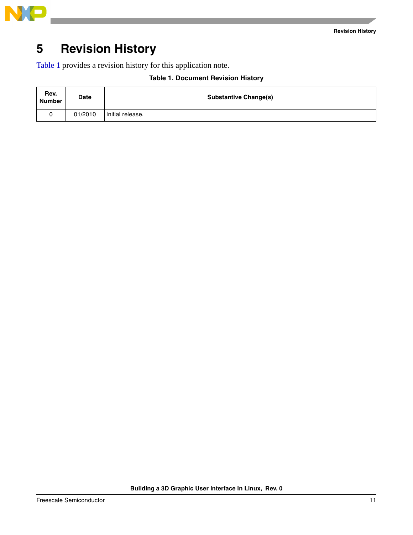

## <span id="page-10-0"></span>**5 Revision History**

<span id="page-10-1"></span>[Table 1](#page-10-1) provides a revision history for this application note.

| Rev.<br>Number | <b>Date</b> | <b>Substantive Change(s)</b> |
|----------------|-------------|------------------------------|
|                | 01/2010     | Initial release.             |

### **Table 1. Document Revision History**